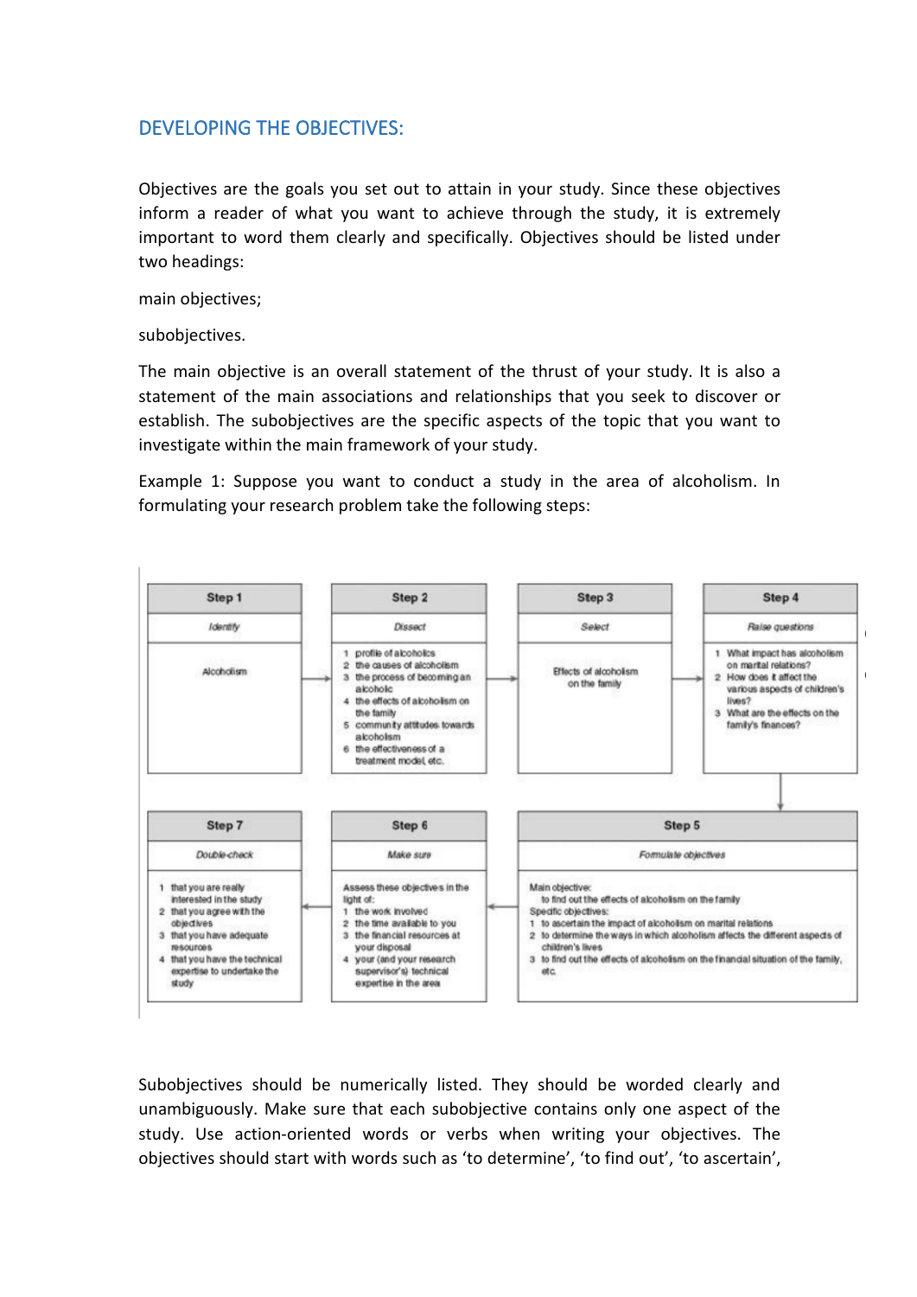## DEVELOPING THE OBJECTIVES:

Objectives are the goals you set out to attain in your study. Since these objectives inform a reader of what you want to achieve through the study, it is extremely important to word them clearly and specifically. Objectives should be listed under two headings:

main objectives;

subobjectives.

The main objective is an overall statement of the thrust of your study. It is also a statement of the main associations and relationships that you seek to discover or establish. The subobjectives are the specific aspects of the topic that you want to investigate within the main framework of your study.

Example 1: Suppose you want to conduct a study in the area of alcoholism. In formulating your research problem take the following steps:



Subobjectives should be numerically listed. They should be worded clearly and unambiguously. Make sure that each subobjective contains only one aspect of the study. Use action-oriented words or verbs when writing your objectives. The objectives should start with words such as 'to determine', 'to find out', 'to ascertain',